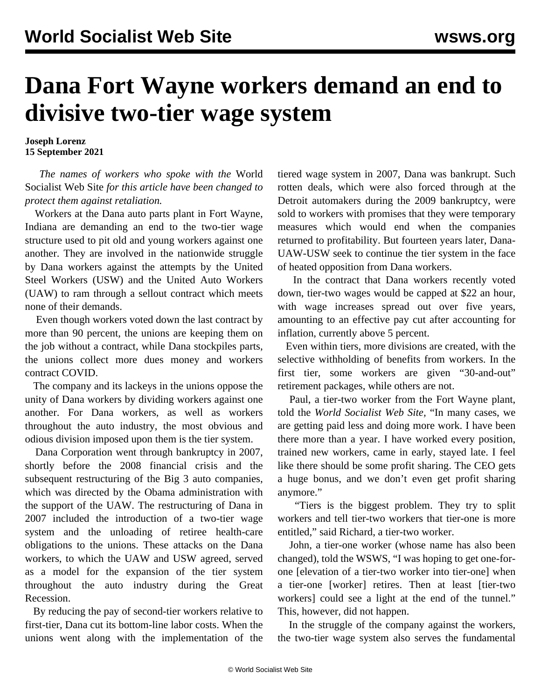## **Dana Fort Wayne workers demand an end to divisive two-tier wage system**

**Joseph Lorenz 15 September 2021**

 *The names of workers who spoke with the* World Socialist Web Site *for this article have been changed to protect them against retaliation.*

 Workers at the Dana auto parts plant in Fort Wayne, Indiana are demanding an end to the two-tier wage structure used to pit old and young workers against one another. They are involved in the nationwide struggle by Dana workers against the attempts by the United Steel Workers (USW) and the United Auto Workers (UAW) to ram through a sellout contract which meets none of their demands.

 Even though workers voted down the last contract by more than 90 percent, the unions are keeping them on the job without a contract, while Dana stockpiles parts, the unions collect more dues money and workers [contract COVID.](/en/articles/2021/09/13/dana-s13.html)

 The company and its lackeys in the unions oppose the unity of Dana workers by dividing workers against one another. For Dana workers, as well as workers throughout the auto industry, the most obvious and odious division imposed upon them is the tier system.

 Dana Corporation went through [bankruptcy](/en/articles/2007/07/dana-j09.html) in 2007, shortly before the 2008 financial crisis and the subsequent restructuring of the Big 3 auto companies, which was directed by the Obama administration with the support of the UAW. The restructuring of Dana in 2007 included the introduction of a two-tier wage system and the unloading of retiree health-care obligations to the unions. These attacks on the Dana workers, to which the UAW and USW agreed, served as a model for the expansion of the tier system throughout the auto industry during the Great Recession.

 By reducing the pay of second-tier workers relative to first-tier, Dana cut its bottom-line labor costs. When the unions went along with the implementation of the tiered wage system in 2007, Dana was bankrupt. Such rotten deals, which were also forced through at the Detroit automakers during the 2009 bankruptcy, were sold to workers with promises that they were temporary measures which would end when the companies returned to profitability. But fourteen years later, Dana-UAW-USW seek to continue the tier system in the face of heated opposition from Dana workers.

 In the contract that Dana workers recently voted down, tier-two wages would be capped at \$22 an hour, with wage increases spread out over five years, amounting to an effective pay cut after accounting for inflation, currently above 5 percent.

 Even within tiers, more divisions are created, with the selective withholding of benefits from workers. In the first tier, some workers are given "30-and-out" retirement packages, while others are not.

 Paul, a tier-two worker from the Fort Wayne plant, told the *World Socialist Web Site,* "In many cases, we are getting paid less and doing more work. I have been there more than a year. I have worked every position, trained new workers, came in early, stayed late. I feel like there should be some profit sharing. The CEO gets a huge bonus, and we don't even get profit sharing anymore."

 "Tiers is the biggest problem. They try to split workers and tell tier-two workers that tier-one is more entitled," said Richard, a tier-two worker.

 John, a tier-one worker (whose name has also been changed), told the WSWS, "I was hoping to get one-forone [elevation of a tier-two worker into tier-one] when a tier-one [worker] retires. Then at least [tier-two workers] could see a light at the end of the tunnel." This, however, did not happen.

 In the struggle of the company against the workers, the two-tier wage system also serves the fundamental